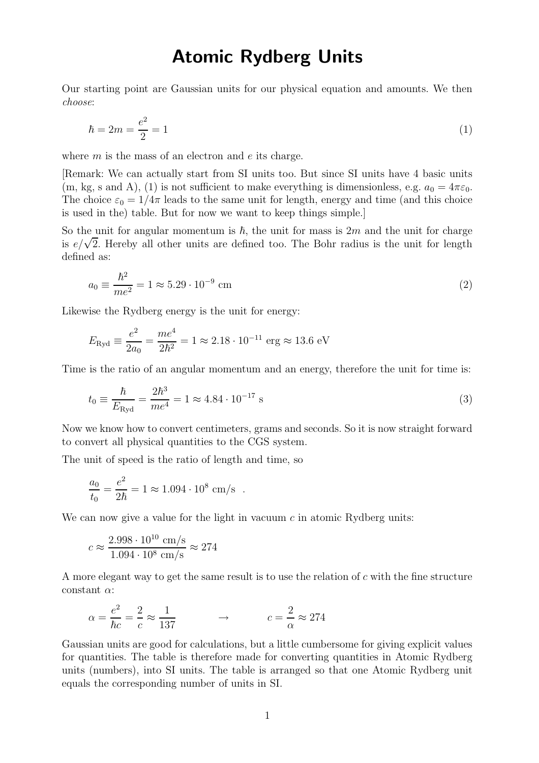## Atomic Rydberg Units

Our starting point are Gaussian units for our physical equation and amounts. We then choose:

$$
\hbar = 2m = \frac{e^2}{2} = 1\tag{1}
$$

where  $m$  is the mass of an electron and  $e$  its charge.

[Remark: We can actually start from SI units too. But since SI units have 4 basic units (m, kg, s and A), (1) is not sufficient to make everything is dimensionless, e.g.  $a_0 = 4\pi\varepsilon_0$ . The choice  $\varepsilon_0 = 1/4\pi$  leads to the same unit for length, energy and time (and this choice is used in the) table. But for now we want to keep things simple.]

So the unit for angular momentum is  $\hbar$ , the unit for mass is 2m and the unit for charge is  $e/\sqrt{2}$ . Hereby all other units are defined too. The Bohr radius is the unit for length defined as:

$$
a_0 \equiv \frac{\hbar^2}{me^2} = 1 \approx 5.29 \cdot 10^{-9} \text{ cm}
$$
 (2)

Likewise the Rydberg energy is the unit for energy:

$$
E_{\text{Ryd}} \equiv \frac{e^2}{2a_0} = \frac{me^4}{2\hbar^2} = 1 \approx 2.18 \cdot 10^{-11} \text{ erg} \approx 13.6 \text{ eV}
$$

Time is the ratio of an angular momentum and an energy, therefore the unit for time is:

$$
t_0 \equiv \frac{\hbar}{E_{\text{Ryd}}} = \frac{2\hbar^3}{me^4} = 1 \approx 4.84 \cdot 10^{-17} \text{ s}
$$
 (3)

Now we know how to convert centimeters, grams and seconds. So it is now straight forward to convert all physical quantities to the CGS system.

The unit of speed is the ratio of length and time, so

$$
\frac{a_0}{t_0} = \frac{e^2}{2\hbar} = 1 \approx 1.094 \cdot 10^8
$$
 cm/s.

We can now give a value for the light in vacuum  $c$  in atomic Rydberg units:

$$
c \approx \frac{2.998 \cdot 10^{10} \text{ cm/s}}{1.094 \cdot 10^8 \text{ cm/s}} \approx 274
$$

A more elegant way to get the same result is to use the relation of c with the fine structure constant  $\alpha$ :

$$
\alpha = \frac{e^2}{\hbar c} = \frac{2}{c} \approx \frac{1}{137} \qquad \qquad \rightarrow \qquad \qquad c = \frac{2}{\alpha} \approx 274
$$

Gaussian units are good for calculations, but a little cumbersome for giving explicit values for quantities. The table is therefore made for converting quantities in Atomic Rydberg units (numbers), into SI units. The table is arranged so that one Atomic Rydberg unit equals the corresponding number of units in SI.